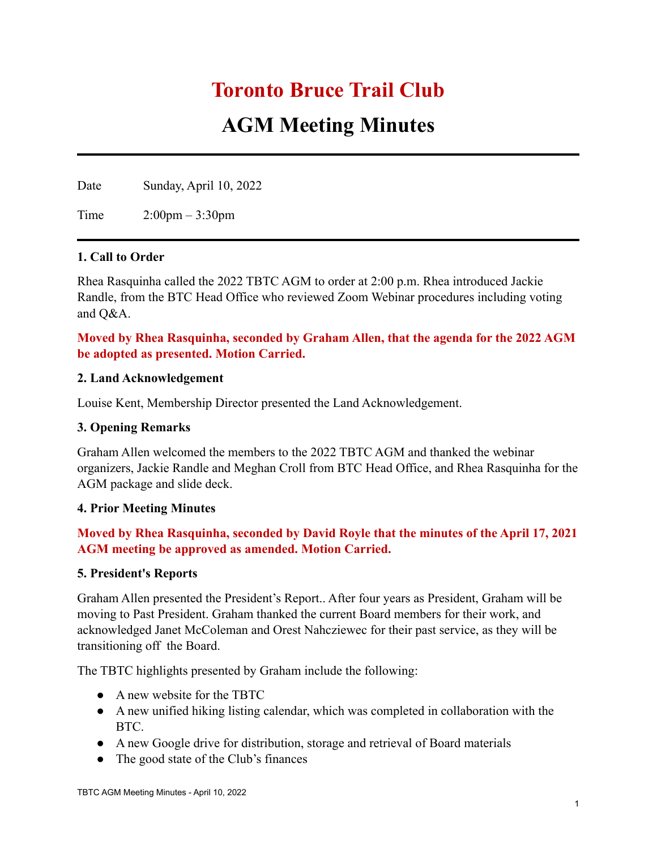# **Toronto Bruce Trail Club**

# **AGM Meeting Minutes**

Date Sunday, April 10, 2022

Time 2:00pm – 3:30pm

### **1. Call to Order**

Rhea Rasquinha called the 2022 TBTC AGM to order at 2:00 p.m. Rhea introduced Jackie Randle, from the BTC Head Office who reviewed Zoom Webinar procedures including voting and Q&A.

## **Moved by Rhea Rasquinha, seconded by Graham Allen, that the agenda for the 2022 AGM be adopted as presented. Motion Carried.**

#### **2. Land Acknowledgement**

Louise Kent, Membership Director presented the Land Acknowledgement.

#### **3. Opening Remarks**

Graham Allen welcomed the members to the 2022 TBTC AGM and thanked the webinar organizers, Jackie Randle and Meghan Croll from BTC Head Office, and Rhea Rasquinha for the AGM package and slide deck.

#### **4. Prior Meeting Minutes**

# **Moved by Rhea Rasquinha, seconded by David Royle that the minutes of the April 17, 2021 AGM meeting be approved as amended. Motion Carried.**

#### **5. President's Reports**

Graham Allen presented the President's Report.. After four years as President, Graham will be moving to Past President. Graham thanked the current Board members for their work, and acknowledged Janet McColeman and Orest Nahcziewec for their past service, as they will be transitioning off the Board.

The TBTC highlights presented by Graham include the following:

- A new website for the TBTC
- A new unified hiking listing calendar, which was completed in collaboration with the BTC.
- A new Google drive for distribution, storage and retrieval of Board materials
- The good state of the Club's finances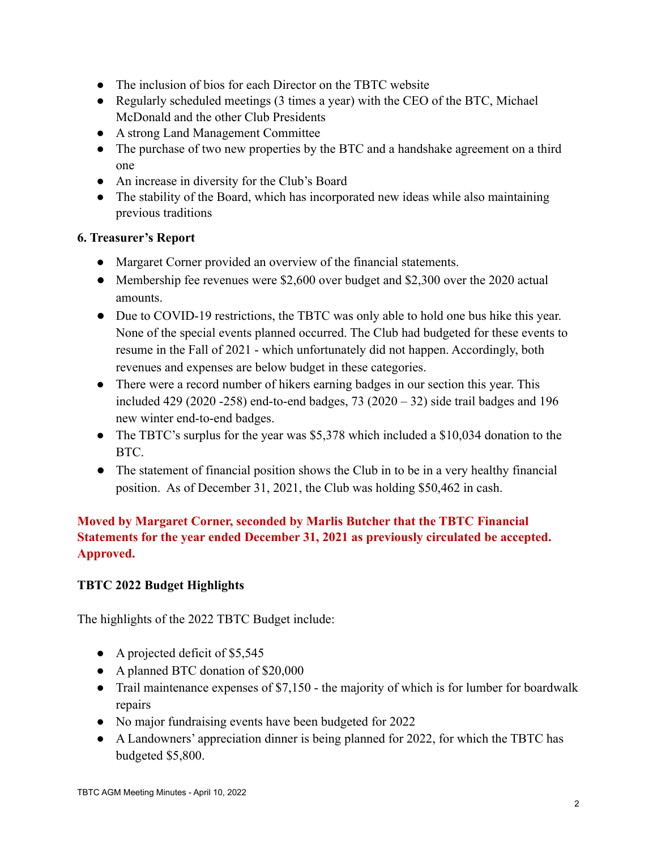- The inclusion of bios for each Director on the TBTC website
- Regularly scheduled meetings (3 times a year) with the CEO of the BTC, Michael McDonald and the other Club Presidents
- A strong Land Management Committee
- The purchase of two new properties by the BTC and a handshake agreement on a third one
- An increase in diversity for the Club's Board
- The stability of the Board, which has incorporated new ideas while also maintaining previous traditions

## **6. Treasurer's Report**

- Margaret Corner provided an overview of the financial statements.
- Membership fee revenues were \$2,600 over budget and \$2,300 over the 2020 actual amounts.
- Due to COVID-19 restrictions, the TBTC was only able to hold one bus hike this year. None of the special events planned occurred. The Club had budgeted for these events to resume in the Fall of 2021 - which unfortunately did not happen. Accordingly, both revenues and expenses are below budget in these categories.
- There were a record number of hikers earning badges in our section this year. This included 429 (2020 -258) end-to-end badges, 73 (2020 – 32) side trail badges and 196 new winter end-to-end badges.
- The TBTC's surplus for the year was \$5,378 which included a \$10,034 donation to the BTC.
- The statement of financial position shows the Club in to be in a very healthy financial position. As of December 31, 2021, the Club was holding \$50,462 in cash.

# **Moved by Margaret Corner, seconded by Marlis Butcher that the TBTC Financial Statements for the year ended December 31, 2021 as previously circulated be accepted. Approved.**

## **TBTC 2022 Budget Highlights**

The highlights of the 2022 TBTC Budget include:

- A projected deficit of  $$5,545$
- A planned BTC donation of \$20,000
- Trail maintenance expenses of \$7,150 the majority of which is for lumber for boardwalk repairs
- No major fundraising events have been budgeted for 2022
- A Landowners' appreciation dinner is being planned for 2022, for which the TBTC has budgeted \$5,800.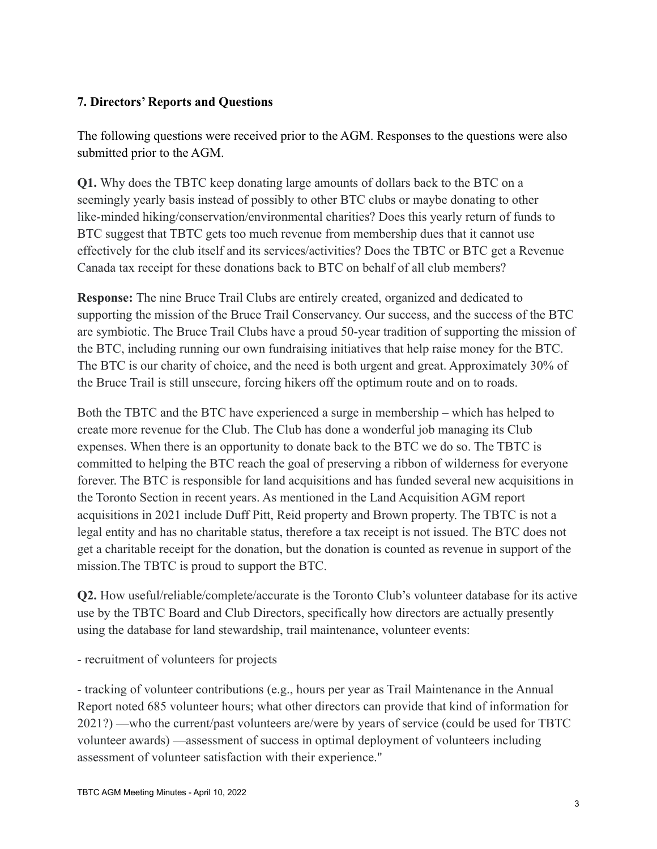# **7. Directors' Reports and Questions**

The following questions were received prior to the AGM. Responses to the questions were also submitted prior to the AGM.

**Q1.** Why does the TBTC keep donating large amounts of dollars back to the BTC on a seemingly yearly basis instead of possibly to other BTC clubs or maybe donating to other like-minded hiking/conservation/environmental charities? Does this yearly return of funds to BTC suggest that TBTC gets too much revenue from membership dues that it cannot use effectively for the club itself and its services/activities? Does the TBTC or BTC get a Revenue Canada tax receipt for these donations back to BTC on behalf of all club members?

**Response:** The nine Bruce Trail Clubs are entirely created, organized and dedicated to supporting the mission of the Bruce Trail Conservancy. Our success, and the success of the BTC are symbiotic. The Bruce Trail Clubs have a proud 50-year tradition of supporting the mission of the BTC, including running our own fundraising initiatives that help raise money for the BTC. The BTC is our charity of choice, and the need is both urgent and great. Approximately 30% of the Bruce Trail is still unsecure, forcing hikers off the optimum route and on to roads.

Both the TBTC and the BTC have experienced a surge in membership – which has helped to create more revenue for the Club. The Club has done a wonderful job managing its Club expenses. When there is an opportunity to donate back to the BTC we do so. The TBTC is committed to helping the BTC reach the goal of preserving a ribbon of wilderness for everyone forever. The BTC is responsible for land acquisitions and has funded several new acquisitions in the Toronto Section in recent years. As mentioned in the Land Acquisition AGM report acquisitions in 2021 include Duff Pitt, Reid property and Brown property. The TBTC is not a legal entity and has no charitable status, therefore a tax receipt is not issued. The BTC does not get a charitable receipt for the donation, but the donation is counted as revenue in support of the mission.The TBTC is proud to support the BTC.

**Q2.** How useful/reliable/complete/accurate is the Toronto Club's volunteer database for its active use by the TBTC Board and Club Directors, specifically how directors are actually presently using the database for land stewardship, trail maintenance, volunteer events:

- recruitment of volunteers for projects

- tracking of volunteer contributions (e.g., hours per year as Trail Maintenance in the Annual Report noted 685 volunteer hours; what other directors can provide that kind of information for 2021?) —who the current/past volunteers are/were by years of service (could be used for TBTC volunteer awards) —assessment of success in optimal deployment of volunteers including assessment of volunteer satisfaction with their experience."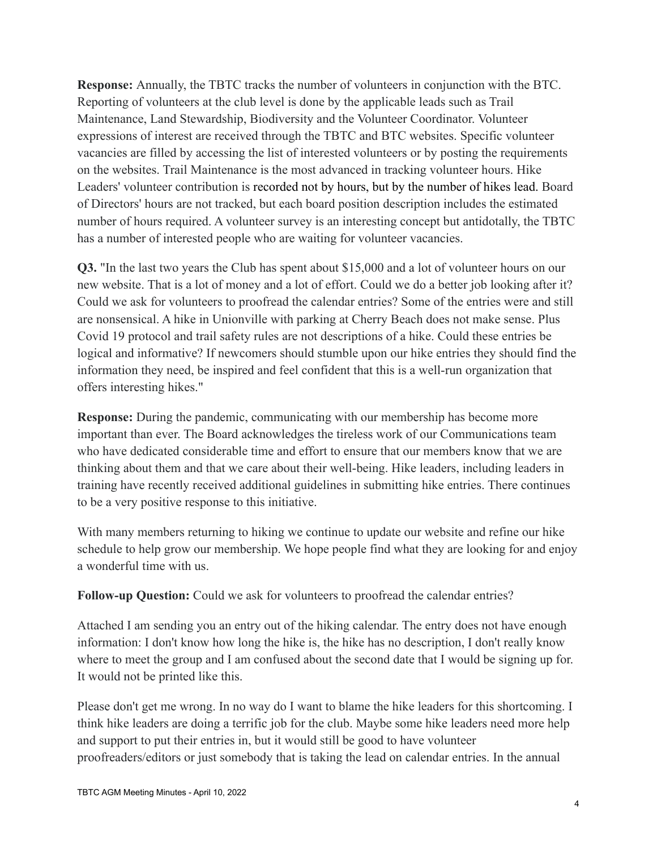**Response:** Annually, the TBTC tracks the number of volunteers in conjunction with the BTC. Reporting of volunteers at the club level is done by the applicable leads such as Trail Maintenance, Land Stewardship, Biodiversity and the Volunteer Coordinator. Volunteer expressions of interest are received through the TBTC and BTC websites. Specific volunteer vacancies are filled by accessing the list of interested volunteers or by posting the requirements on the websites. Trail Maintenance is the most advanced in tracking volunteer hours. Hike Leaders' volunteer contribution is recorded not by hours, but by the number of hikes lead. Board of Directors' hours are not tracked, but each board position description includes the estimated number of hours required. A volunteer survey is an interesting concept but antidotally, the TBTC has a number of interested people who are waiting for volunteer vacancies.

**Q3.** "In the last two years the Club has spent about \$15,000 and a lot of volunteer hours on our new website. That is a lot of money and a lot of effort. Could we do a better job looking after it? Could we ask for volunteers to proofread the calendar entries? Some of the entries were and still are nonsensical. A hike in Unionville with parking at Cherry Beach does not make sense. Plus Covid 19 protocol and trail safety rules are not descriptions of a hike. Could these entries be logical and informative? If newcomers should stumble upon our hike entries they should find the information they need, be inspired and feel confident that this is a well-run organization that offers interesting hikes."

**Response:** During the pandemic, communicating with our membership has become more important than ever. The Board acknowledges the tireless work of our Communications team who have dedicated considerable time and effort to ensure that our members know that we are thinking about them and that we care about their well-being. Hike leaders, including leaders in training have recently received additional guidelines in submitting hike entries. There continues to be a very positive response to this initiative.

With many members returning to hiking we continue to update our website and refine our hike schedule to help grow our membership. We hope people find what they are looking for and enjoy a wonderful time with us.

**Follow-up Question:** Could we ask for volunteers to proofread the calendar entries?

Attached I am sending you an entry out of the hiking calendar. The entry does not have enough information: I don't know how long the hike is, the hike has no description, I don't really know where to meet the group and I am confused about the second date that I would be signing up for. It would not be printed like this.

Please don't get me wrong. In no way do I want to blame the hike leaders for this shortcoming. I think hike leaders are doing a terrific job for the club. Maybe some hike leaders need more help and support to put their entries in, but it would still be good to have volunteer proofreaders/editors or just somebody that is taking the lead on calendar entries. In the annual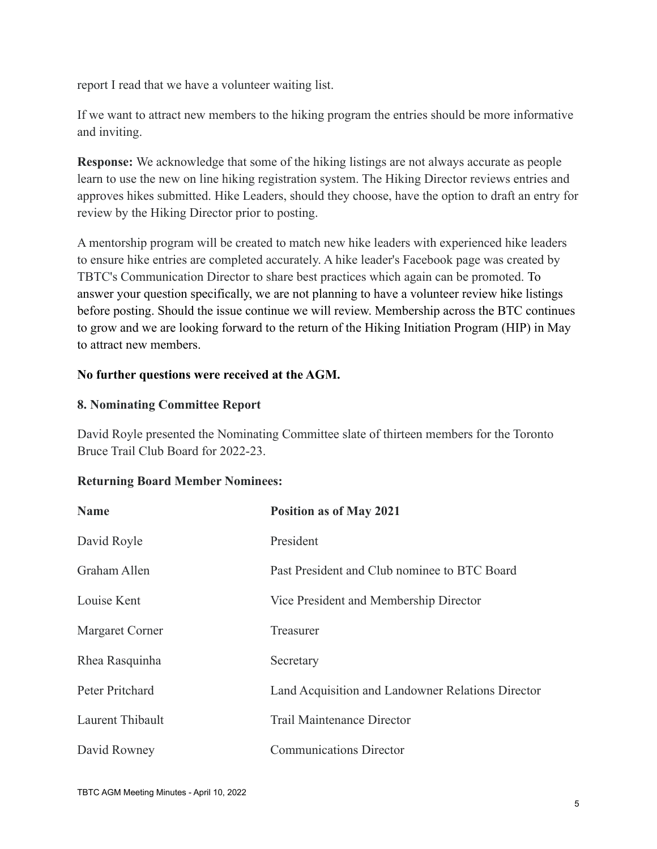report I read that we have a volunteer waiting list.

If we want to attract new members to the hiking program the entries should be more informative and inviting.

**Response:** We acknowledge that some of the hiking listings are not always accurate as people learn to use the new on line hiking registration system. The Hiking Director reviews entries and approves hikes submitted. Hike Leaders, should they choose, have the option to draft an entry for review by the Hiking Director prior to posting.

A mentorship program will be created to match new hike leaders with experienced hike leaders to ensure hike entries are completed accurately. A hike leader's Facebook page was created by TBTC's Communication Director to share best practices which again can be promoted. To answer your question specifically, we are not planning to have a volunteer review hike listings before posting. Should the issue continue we will review. Membership across the BTC continues to grow and we are looking forward to the return of the Hiking Initiation Program (HIP) in May to attract new members.

## **No further questions were received at the AGM.**

# **8. Nominating Committee Report**

David Royle presented the Nominating Committee slate of thirteen members for the Toronto Bruce Trail Club Board for 2022-23.

## **Returning Board Member Nominees:**

| <b>Name</b>      | <b>Position as of May 2021</b>                    |
|------------------|---------------------------------------------------|
| David Royle      | President                                         |
| Graham Allen     | Past President and Club nominee to BTC Board      |
| Louise Kent      | Vice President and Membership Director            |
| Margaret Corner  | Treasurer                                         |
| Rhea Rasquinha   | Secretary                                         |
| Peter Pritchard  | Land Acquisition and Landowner Relations Director |
| Laurent Thibault | <b>Trail Maintenance Director</b>                 |
| David Rowney     | <b>Communications Director</b>                    |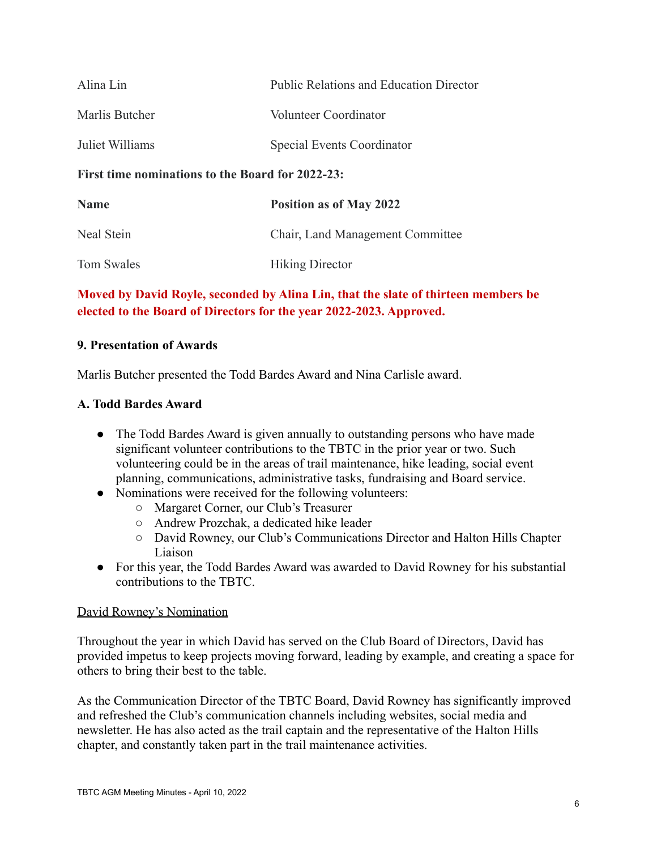| Alina Lin                                        | Public Relations and Education Director |
|--------------------------------------------------|-----------------------------------------|
| Marlis Butcher                                   | Volunteer Coordinator                   |
| Juliet Williams                                  | <b>Special Events Coordinator</b>       |
| First time nominations to the Board for 2022-23: |                                         |
| <b>Name</b>                                      | <b>Position as of May 2022</b>          |
| Neal Stein                                       | Chair, Land Management Committee        |
| <b>Tom Swales</b>                                | <b>Hiking Director</b>                  |

# **Moved by David Royle, seconded by Alina Lin, that the slate of thirteen members be elected to the Board of Directors for the year 2022-2023. Approved.**

#### **9. Presentation of Awards**

Marlis Butcher presented the Todd Bardes Award and Nina Carlisle award.

### **A. Todd Bardes Award**

- The Todd Bardes Award is given annually to outstanding persons who have made significant volunteer contributions to the TBTC in the prior year or two. Such volunteering could be in the areas of trail maintenance, hike leading, social event planning, communications, administrative tasks, fundraising and Board service.
- Nominations were received for the following volunteers:
	- Margaret Corner, our Club's Treasurer
	- Andrew Prozchak, a dedicated hike leader
	- David Rowney, our Club's Communications Director and Halton Hills Chapter Liaison
- For this year, the Todd Bardes Award was awarded to David Rowney for his substantial contributions to the TBTC.

#### David Rowney's Nomination

Throughout the year in which David has served on the Club Board of Directors, David has provided impetus to keep projects moving forward, leading by example, and creating a space for others to bring their best to the table.

As the Communication Director of the TBTC Board, David Rowney has significantly improved and refreshed the Club's communication channels including websites, social media and newsletter. He has also acted as the trail captain and the representative of the Halton Hills chapter, and constantly taken part in the trail maintenance activities.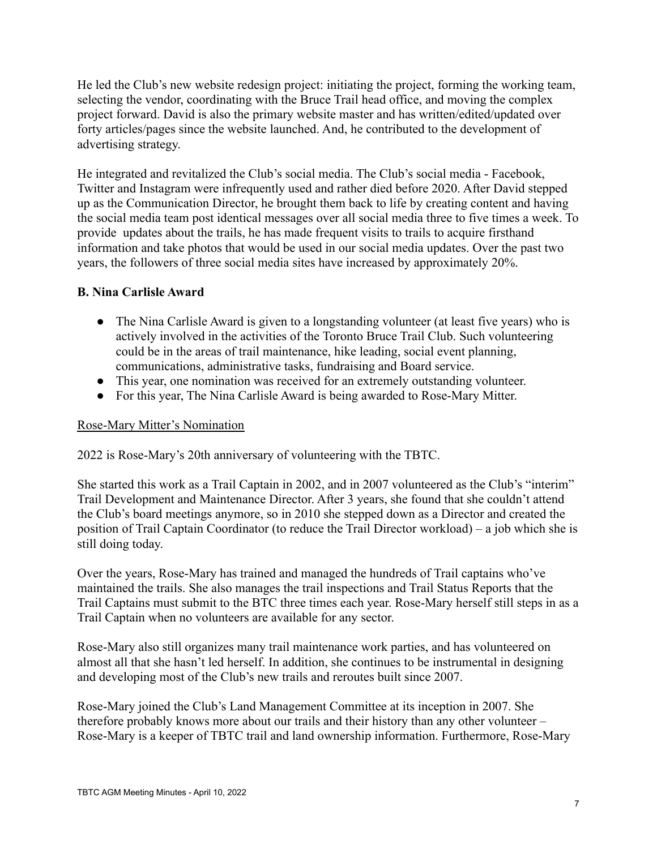He led the Club's new website redesign project: initiating the project, forming the working team, selecting the vendor, coordinating with the Bruce Trail head office, and moving the complex project forward. David is also the primary website master and has written/edited/updated over forty articles/pages since the website launched. And, he contributed to the development of advertising strategy.

He integrated and revitalized the Club's social media. The Club's social media - Facebook, Twitter and Instagram were infrequently used and rather died before 2020. After David stepped up as the Communication Director, he brought them back to life by creating content and having the social media team post identical messages over all social media three to five times a week. To provide updates about the trails, he has made frequent visits to trails to acquire firsthand information and take photos that would be used in our social media updates. Over the past two years, the followers of three social media sites have increased by approximately 20%.

### **B. Nina Carlisle Award**

- The Nina Carlisle Award is given to a longstanding volunteer (at least five years) who is actively involved in the activities of the Toronto Bruce Trail Club. Such volunteering could be in the areas of trail maintenance, hike leading, social event planning, communications, administrative tasks, fundraising and Board service.
- This year, one nomination was received for an extremely outstanding volunteer.
- For this year, The Nina Carlisle Award is being awarded to Rose-Mary Mitter.

#### Rose-Mary Mitter's Nomination

2022 is Rose-Mary's 20th anniversary of volunteering with the TBTC.

She started this work as a Trail Captain in 2002, and in 2007 volunteered as the Club's "interim" Trail Development and Maintenance Director. After 3 years, she found that she couldn't attend the Club's board meetings anymore, so in 2010 she stepped down as a Director and created the position of Trail Captain Coordinator (to reduce the Trail Director workload) – a job which she is still doing today.

Over the years, Rose-Mary has trained and managed the hundreds of Trail captains who've maintained the trails. She also manages the trail inspections and Trail Status Reports that the Trail Captains must submit to the BTC three times each year. Rose-Mary herself still steps in as a Trail Captain when no volunteers are available for any sector.

Rose-Mary also still organizes many trail maintenance work parties, and has volunteered on almost all that she hasn't led herself. In addition, she continues to be instrumental in designing and developing most of the Club's new trails and reroutes built since 2007.

Rose-Mary joined the Club's Land Management Committee at its inception in 2007. She therefore probably knows more about our trails and their history than any other volunteer – Rose-Mary is a keeper of TBTC trail and land ownership information. Furthermore, Rose-Mary